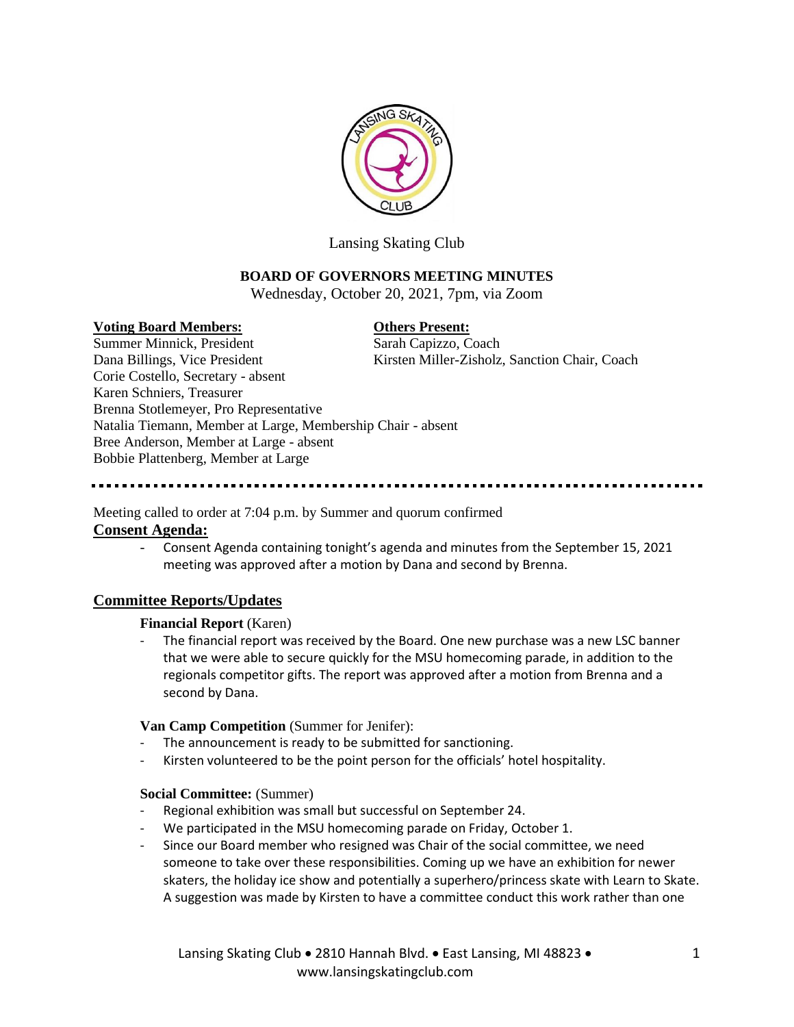

Lansing Skating Club

# **BOARD OF GOVERNORS MEETING MINUTES**

Wednesday, October 20, 2021, 7pm, via Zoom

## **Voting Board Members: Others Present:**

Summer Minnick, President Sarah Capizzo, Coach Dana Billings, Vice President Kirsten Miller-Zisholz, Sanction Chair, Coach Corie Costello, Secretary - absent Karen Schniers, Treasurer Brenna Stotlemeyer, Pro Representative Natalia Tiemann, Member at Large, Membership Chair - absent Bree Anderson, Member at Large - absent Bobbie Plattenberg, Member at Large

Meeting called to order at 7:04 p.m. by Summer and quorum confirmed **Consent Agenda:**

> - Consent Agenda containing tonight's agenda and minutes from the September 15, 2021 meeting was approved after a motion by Dana and second by Brenna.

# **Committee Reports/Updates**

## **Financial Report** (Karen)

- The financial report was received by the Board. One new purchase was a new LSC banner that we were able to secure quickly for the MSU homecoming parade, in addition to the regionals competitor gifts. The report was approved after a motion from Brenna and a second by Dana.

## **Van Camp Competition** (Summer for Jenifer):

- The announcement is ready to be submitted for sanctioning.
- Kirsten volunteered to be the point person for the officials' hotel hospitality.

## **Social Committee:** (Summer)

- Regional exhibition was small but successful on September 24.
- We participated in the MSU homecoming parade on Friday, October 1.
- Since our Board member who resigned was Chair of the social committee, we need someone to take over these responsibilities. Coming up we have an exhibition for newer skaters, the holiday ice show and potentially a superhero/princess skate with Learn to Skate. A suggestion was made by Kirsten to have a committee conduct this work rather than one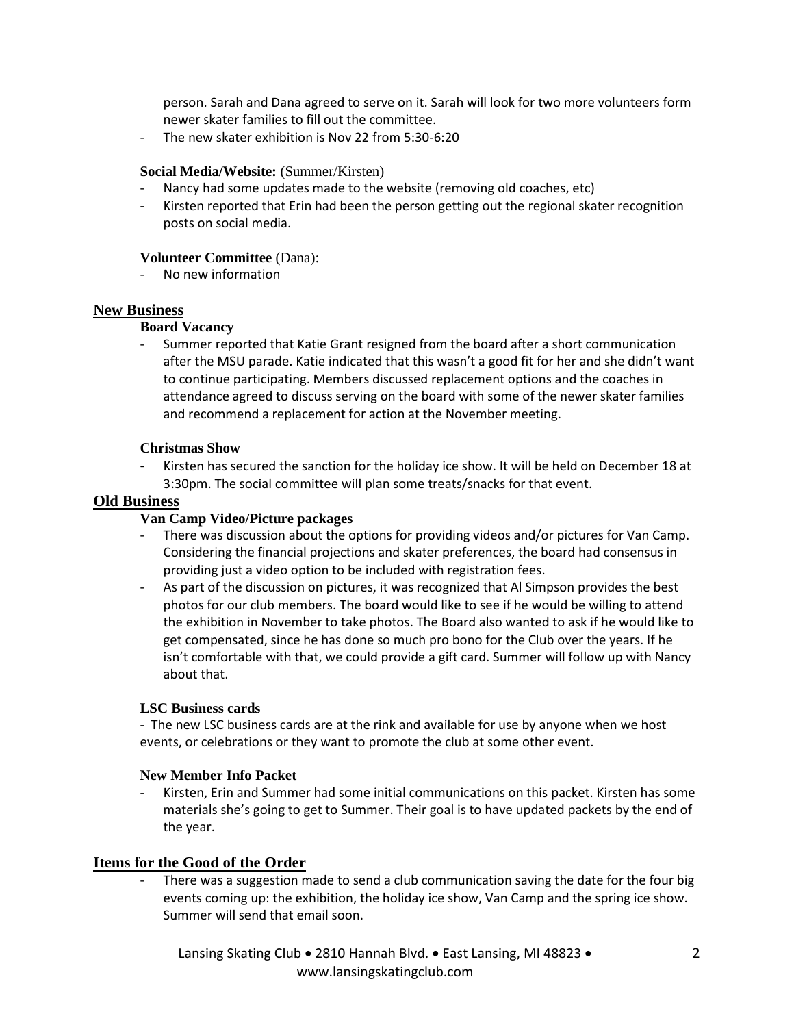person. Sarah and Dana agreed to serve on it. Sarah will look for two more volunteers form newer skater families to fill out the committee.

The new skater exhibition is Nov 22 from 5:30-6:20

## **Social Media/Website:** (Summer/Kirsten)

- Nancy had some updates made to the website (removing old coaches, etc)
- Kirsten reported that Erin had been the person getting out the regional skater recognition posts on social media.

## **Volunteer Committee** (Dana):

- No new information

# **New Business**

# **Board Vacancy**

- Summer reported that Katie Grant resigned from the board after a short communication after the MSU parade. Katie indicated that this wasn't a good fit for her and she didn't want to continue participating. Members discussed replacement options and the coaches in attendance agreed to discuss serving on the board with some of the newer skater families and recommend a replacement for action at the November meeting.

# **Christmas Show**

Kirsten has secured the sanction for the holiday ice show. It will be held on December 18 at 3:30pm. The social committee will plan some treats/snacks for that event.

# **Old Business**

# **Van Camp Video/Picture packages**

- There was discussion about the options for providing videos and/or pictures for Van Camp. Considering the financial projections and skater preferences, the board had consensus in providing just a video option to be included with registration fees.
- As part of the discussion on pictures, it was recognized that Al Simpson provides the best photos for our club members. The board would like to see if he would be willing to attend the exhibition in November to take photos. The Board also wanted to ask if he would like to get compensated, since he has done so much pro bono for the Club over the years. If he isn't comfortable with that, we could provide a gift card. Summer will follow up with Nancy about that.

## **LSC Business cards**

- The new LSC business cards are at the rink and available for use by anyone when we host events, or celebrations or they want to promote the club at some other event.

## **New Member Info Packet**

Kirsten, Erin and Summer had some initial communications on this packet. Kirsten has some materials she's going to get to Summer. Their goal is to have updated packets by the end of the year.

# **Items for the Good of the Order**

There was a suggestion made to send a club communication saving the date for the four big events coming up: the exhibition, the holiday ice show, Van Camp and the spring ice show. Summer will send that email soon.

Lansing Skating Club • 2810 Hannah Blvd. • East Lansing, MI 48823 • www.lansingskatingclub.com